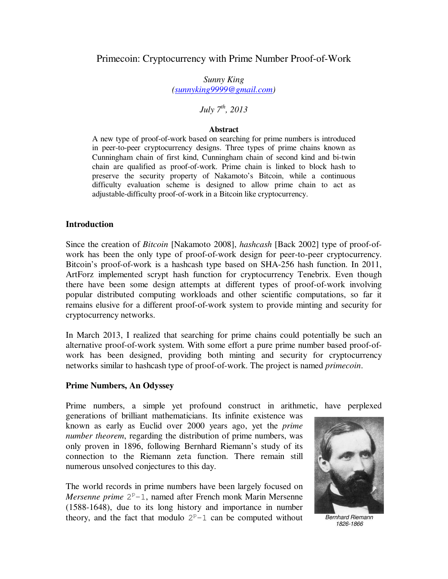## Primecoin: Cryptocurrency with Prime Number Proof-of-Work

*Sunny King (sunnyking9999@gmail.com)* 

# *July 7th, 2013*

#### **Abstract**

A new type of proof-of-work based on searching for prime numbers is introduced in peer-to-peer cryptocurrency designs. Three types of prime chains known as Cunningham chain of first kind, Cunningham chain of second kind and bi-twin chain are qualified as proof-of-work. Prime chain is linked to block hash to preserve the security property of Nakamoto's Bitcoin, while a continuous difficulty evaluation scheme is designed to allow prime chain to act as adjustable-difficulty proof-of-work in a Bitcoin like cryptocurrency.

#### **Introduction**

Since the creation of *Bitcoin* [Nakamoto 2008], *hashcash* [Back 2002] type of proof-ofwork has been the only type of proof-of-work design for peer-to-peer cryptocurrency. Bitcoin's proof-of-work is a hashcash type based on SHA-256 hash function. In 2011, ArtForz implemented scrypt hash function for cryptocurrency Tenebrix. Even though there have been some design attempts at different types of proof-of-work involving popular distributed computing workloads and other scientific computations, so far it remains elusive for a different proof-of-work system to provide minting and security for cryptocurrency networks.

In March 2013, I realized that searching for prime chains could potentially be such an alternative proof-of-work system. With some effort a pure prime number based proof-ofwork has been designed, providing both minting and security for cryptocurrency networks similar to hashcash type of proof-of-work. The project is named *primecoin*.

#### **Prime Numbers, An Odyssey**

Prime numbers, a simple yet profound construct in arithmetic, have perplexed

generations of brilliant mathematicians. Its infinite existence was known as early as Euclid over 2000 years ago, yet the *prime number theorem*, regarding the distribution of prime numbers, was only proven in 1896, following Bernhard Riemann's study of its connection to the Riemann zeta function. There remain still numerous unsolved conjectures to this day.

The world records in prime numbers have been largely focused on Mersenne prime  $2^p-1$ , named after French monk Marin Mersenne (1588-1648), due to its long history and importance in number theory, and the fact that modulo  $2^p-1$  can be computed without Bernhard Riemann



1826-1866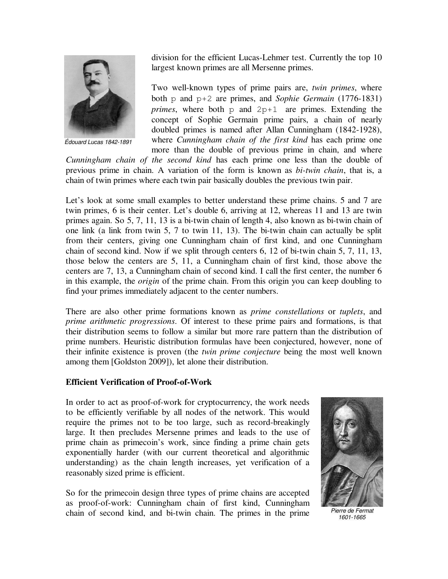

Édouard Lucas 1842-1891

division for the efficient Lucas-Lehmer test. Currently the top 10 largest known primes are all Mersenne primes.

Two well-known types of prime pairs are, *twin primes*, where both p and p+2 are primes, and *Sophie Germain* (1776-1831) *primes*, where both  $p$  and  $2p+1$  are primes. Extending the concept of Sophie Germain prime pairs, a chain of nearly doubled primes is named after Allan Cunningham (1842-1928), where *Cunningham chain of the first kind* has each prime one more than the double of previous prime in chain, and where

*Cunningham chain of the second kind* has each prime one less than the double of previous prime in chain. A variation of the form is known as *bi-twin chain*, that is, a chain of twin primes where each twin pair basically doubles the previous twin pair.

Let's look at some small examples to better understand these prime chains. 5 and 7 are twin primes, 6 is their center. Let's double 6, arriving at 12, whereas 11 and 13 are twin primes again. So 5, 7, 11, 13 is a bi-twin chain of length 4, also known as bi-twin chain of one link (a link from twin 5, 7 to twin 11, 13). The bi-twin chain can actually be split from their centers, giving one Cunningham chain of first kind, and one Cunningham chain of second kind. Now if we split through centers 6, 12 of bi-twin chain 5, 7, 11, 13, those below the centers are 5, 11, a Cunningham chain of first kind, those above the centers are 7, 13, a Cunningham chain of second kind. I call the first center, the number 6 in this example, the *origin* of the prime chain. From this origin you can keep doubling to find your primes immediately adjacent to the center numbers.

There are also other prime formations known as *prime constellations* or *tuplets*, and *prime arithmetic progressions*. Of interest to these prime pairs and formations, is that their distribution seems to follow a similar but more rare pattern than the distribution of prime numbers. Heuristic distribution formulas have been conjectured, however, none of their infinite existence is proven (the *twin prime conjecture* being the most well known among them [Goldston 2009]), let alone their distribution.

## **Efficient Verification of Proof-of-Work**

In order to act as proof-of-work for cryptocurrency, the work needs to be efficiently verifiable by all nodes of the network. This would require the primes not to be too large, such as record-breakingly large. It then precludes Mersenne primes and leads to the use of prime chain as primecoin's work, since finding a prime chain gets exponentially harder (with our current theoretical and algorithmic understanding) as the chain length increases, yet verification of a reasonably sized prime is efficient.

So for the primecoin design three types of prime chains are accepted as proof-of-work: Cunningham chain of first kind, Cunningham chain of second kind, and bi-twin chain. The primes in the prime



Pierre de Fermat 1601-1665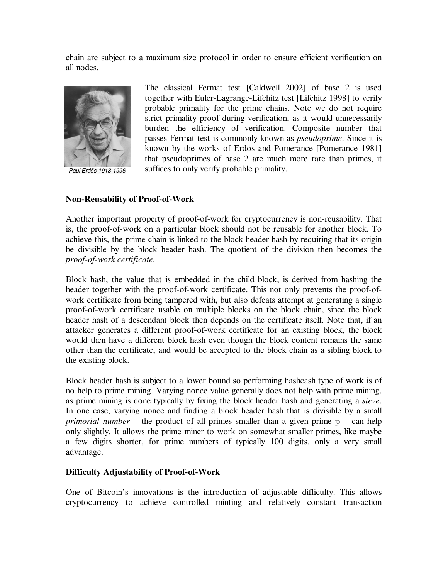chain are subject to a maximum size protocol in order to ensure efficient verification on all nodes.



Paul Erd*ı*s 1913-1996

The classical Fermat test [Caldwell 2002] of base 2 is used together with Euler-Lagrange-Lifchitz test [Lifchitz 1998] to verify probable primality for the prime chains. Note we do not require strict primality proof during verification, as it would unnecessarily burden the efficiency of verification. Composite number that passes Fermat test is commonly known as *pseudoprime*. Since it is known by the works of Erdös and Pomerance [Pomerance 1981] that pseudoprimes of base 2 are much more rare than primes, it suffices to only verify probable primality.

## **Non-Reusability of Proof-of-Work**

Another important property of proof-of-work for cryptocurrency is non-reusability. That is, the proof-of-work on a particular block should not be reusable for another block. To achieve this, the prime chain is linked to the block header hash by requiring that its origin be divisible by the block header hash. The quotient of the division then becomes the *proof-of-work certificate*.

Block hash, the value that is embedded in the child block, is derived from hashing the header together with the proof-of-work certificate. This not only prevents the proof-ofwork certificate from being tampered with, but also defeats attempt at generating a single proof-of-work certificate usable on multiple blocks on the block chain, since the block header hash of a descendant block then depends on the certificate itself. Note that, if an attacker generates a different proof-of-work certificate for an existing block, the block would then have a different block hash even though the block content remains the same other than the certificate, and would be accepted to the block chain as a sibling block to the existing block.

Block header hash is subject to a lower bound so performing hashcash type of work is of no help to prime mining. Varying nonce value generally does not help with prime mining, as prime mining is done typically by fixing the block header hash and generating a *sieve*. In one case, varying nonce and finding a block header hash that is divisible by a small *primorial number* – the product of all primes smaller than a given prime  $p - can help$ only slightly. It allows the prime miner to work on somewhat smaller primes, like maybe a few digits shorter, for prime numbers of typically 100 digits, only a very small advantage.

## **Difficulty Adjustability of Proof-of-Work**

One of Bitcoin's innovations is the introduction of adjustable difficulty. This allows cryptocurrency to achieve controlled minting and relatively constant transaction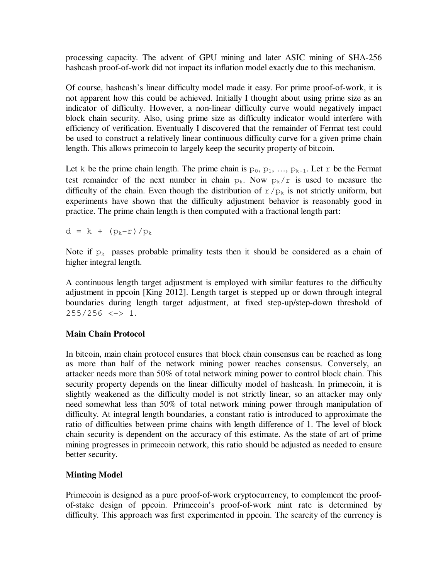processing capacity. The advent of GPU mining and later ASIC mining of SHA-256 hashcash proof-of-work did not impact its inflation model exactly due to this mechanism.

Of course, hashcash's linear difficulty model made it easy. For prime proof-of-work, it is not apparent how this could be achieved. Initially I thought about using prime size as an indicator of difficulty. However, a non-linear difficulty curve would negatively impact block chain security. Also, using prime size as difficulty indicator would interfere with efficiency of verification. Eventually I discovered that the remainder of Fermat test could be used to construct a relatively linear continuous difficulty curve for a given prime chain length. This allows primecoin to largely keep the security property of bitcoin.

Let k be the prime chain length. The prime chain is  $p_0, p_1, ..., p_{k-1}$ . Let r be the Fermat test remainder of the next number in chain  $p_k$ . Now  $p_k/r$  is used to measure the difficulty of the chain. Even though the distribution of  $r/p_k$  is not strictly uniform, but experiments have shown that the difficulty adjustment behavior is reasonably good in practice. The prime chain length is then computed with a fractional length part:

 $d = k + (p_k - r)/p_k$ 

Note if  $p_k$  passes probable primality tests then it should be considered as a chain of higher integral length.

A continuous length target adjustment is employed with similar features to the difficulty adjustment in ppcoin [King 2012]. Length target is stepped up or down through integral boundaries during length target adjustment, at fixed step-up/step-down threshold of  $255/256 \le -\ge 1$ .

# **Main Chain Protocol**

In bitcoin, main chain protocol ensures that block chain consensus can be reached as long as more than half of the network mining power reaches consensus. Conversely, an attacker needs more than 50% of total network mining power to control block chain. This security property depends on the linear difficulty model of hashcash. In primecoin, it is slightly weakened as the difficulty model is not strictly linear, so an attacker may only need somewhat less than 50% of total network mining power through manipulation of difficulty. At integral length boundaries, a constant ratio is introduced to approximate the ratio of difficulties between prime chains with length difference of 1. The level of block chain security is dependent on the accuracy of this estimate. As the state of art of prime mining progresses in primecoin network, this ratio should be adjusted as needed to ensure better security.

# **Minting Model**

Primecoin is designed as a pure proof-of-work cryptocurrency, to complement the proofof-stake design of ppcoin. Primecoin's proof-of-work mint rate is determined by difficulty. This approach was first experimented in ppcoin. The scarcity of the currency is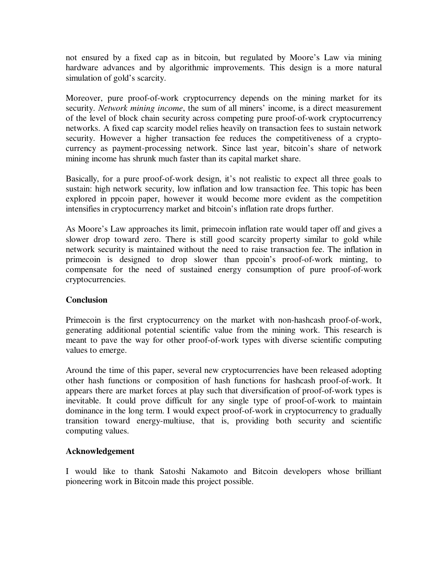not ensured by a fixed cap as in bitcoin, but regulated by Moore's Law via mining hardware advances and by algorithmic improvements. This design is a more natural simulation of gold's scarcity.

Moreover, pure proof-of-work cryptocurrency depends on the mining market for its security. *Network mining income*, the sum of all miners' income, is a direct measurement of the level of block chain security across competing pure proof-of-work cryptocurrency networks. A fixed cap scarcity model relies heavily on transaction fees to sustain network security. However a higher transaction fee reduces the competitiveness of a cryptocurrency as payment-processing network. Since last year, bitcoin's share of network mining income has shrunk much faster than its capital market share.

Basically, for a pure proof-of-work design, it's not realistic to expect all three goals to sustain: high network security, low inflation and low transaction fee. This topic has been explored in ppcoin paper, however it would become more evident as the competition intensifies in cryptocurrency market and bitcoin's inflation rate drops further.

As Moore's Law approaches its limit, primecoin inflation rate would taper off and gives a slower drop toward zero. There is still good scarcity property similar to gold while network security is maintained without the need to raise transaction fee. The inflation in primecoin is designed to drop slower than ppcoin's proof-of-work minting, to compensate for the need of sustained energy consumption of pure proof-of-work cryptocurrencies.

# **Conclusion**

Primecoin is the first cryptocurrency on the market with non-hashcash proof-of-work, generating additional potential scientific value from the mining work. This research is meant to pave the way for other proof-of-work types with diverse scientific computing values to emerge.

Around the time of this paper, several new cryptocurrencies have been released adopting other hash functions or composition of hash functions for hashcash proof-of-work. It appears there are market forces at play such that diversification of proof-of-work types is inevitable. It could prove difficult for any single type of proof-of-work to maintain dominance in the long term. I would expect proof-of-work in cryptocurrency to gradually transition toward energy-multiuse, that is, providing both security and scientific computing values.

# **Acknowledgement**

I would like to thank Satoshi Nakamoto and Bitcoin developers whose brilliant pioneering work in Bitcoin made this project possible.